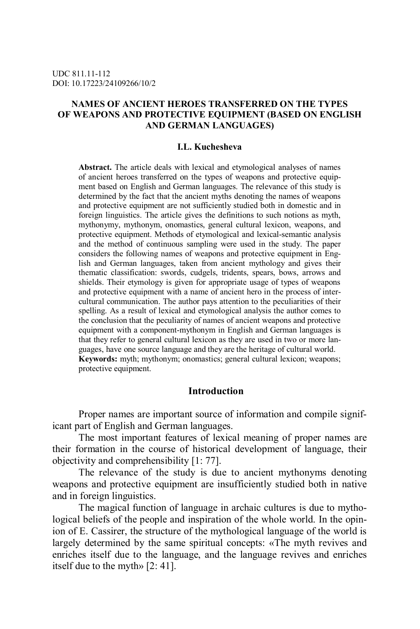## **NAMES OF ANCIENT HEROES TRANSFERRED ON THE TYPES OF WEAPONS AND PROTECTIVE EQUIPMENT (BASED ON ENGLISH AND GERMAN LANGUAGES)**

### **I.L. Kuchesheva**

**Abstract.** The article deals with lexical and etymological analyses of names of ancient heroes transferred on the types of weapons and protective equipment based on English and German languages. The relevance of this study is determined by the fact that the ancient myths denoting the names of weapons and protective equipment are not sufficiently studied both in domestic and in foreign linguistics. The article gives the definitions to such notions as myth, mythonymy, mythonym, onomastics, general cultural lexicon, weapons, and protective equipment. Methods of etymological and lexical-semantic analysis and the method of continuous sampling were used in the study. The paper considers the following names of weapons and protective equipment in English and German languages, taken from ancient mythology and gives their thematic classification: swords, cudgels, tridents, spears, bows, arrows and shields. Their etymology is given for appropriate usage of types of weapons and protective equipment with a name of ancient hero in the process of intercultural communication. The author pays attention to the peculiarities of their spelling. As a result of lexical and etymological analysis the author comes to the conclusion that the peculiarity of names of ancient weapons and protective equipment with a component-mythonym in English and German languages is that they refer to general cultural lexicon as they are used in two or more languages, have one source language and they are the heritage of cultural world. **Keywords:** myth; mythonym; onomastics; general cultural lexicon; weapons; protective equipment.

# **Introduction**

Proper names are important source of information and compile significant part of English and German languages.

The most important features of lexical meaning of proper names are their formation in the course of historical development of language, their objectivity and comprehensibility [1: 77].

The relevance of the study is due to ancient mythonyms denoting weapons and protective equipment are insufficiently studied both in native and in foreign linguistics.

The magical function of language in archaic cultures is due to mythological beliefs of the people and inspiration of the whole world. In the opinion of E. Cassirer, the structure of the mythological language of the world is largely determined by the same spiritual concepts: «The myth revives and enriches itself due to the language, and the language revives and enriches itself due to the myth» [2: 41].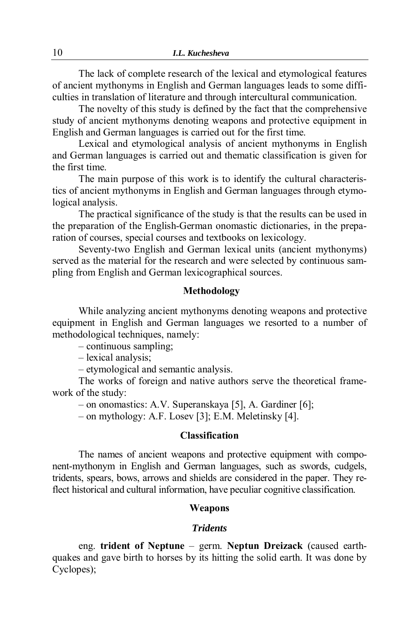The lack of complete research of the lexical and etymological features of ancient mythonyms in English and German languages leads to some difficulties in translation of literature and through intercultural communication.

The novelty of this study is defined by the fact that the comprehensive study of ancient mythonyms denoting weapons and protective equipment in English and German languages is carried out for the first time.

Lexical and etymological analysis of ancient mythonyms in English and German languages is carried out and thematic classification is given for the first time.

The main purpose of this work is to identify the cultural characteristics of ancient mythonyms in English and German languages through etymological analysis.

The practical significance of the study is that the results can be used in the preparation of the English-German onomastic dictionaries, in the preparation of courses, special courses and textbooks on lexicology.

Seventy-two English and German lexical units (ancient mythonyms) served as the material for the research and were selected by continuous sampling from English and German lexicographical sources.

# **Methodology**

While analyzing ancient mythonyms denoting weapons and protective equipment in English and German languages we resorted to a number of methodological techniques, namely:

– continuous sampling;

– lexical analysis;

– etymological and semantic analysis.

The works of foreign and native authors serve the theoretical framework of the study:

– on onomastics: A.V. Superanskaya [5], A. Gardiner [6];

– on mythology: A.F. Losev [3]; E.M. Meletinsky [4].

# **Classification**

The names of ancient weapons and protective equipment with component-mythonym in English and German languages, such as swords, cudgels, tridents, spears, bows, arrows and shields are considered in the paper. They reflect historical and cultural information, have peculiar cognitive classification.

### **Weapons**

### *Tridents*

eng. **trident of Neptune** – germ. **Neptun Dreizack** (caused earthquakes and gave birth to horses by its hitting the solid earth. It was done by Cyclopes);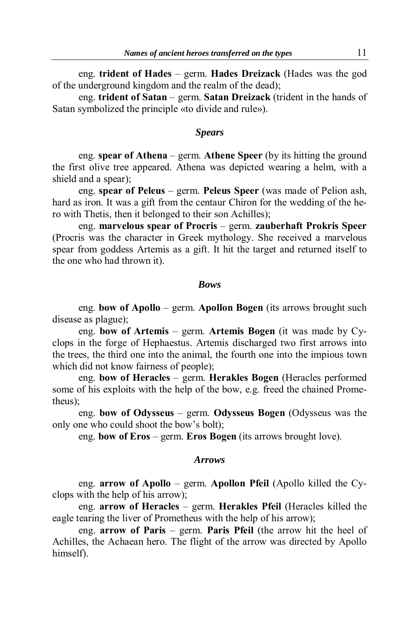eng. **trident of Hades** – germ. **Hades Dreizack** (Hades was the god of the underground kingdom and the realm of the dead);

eng. **trident of Satan** – germ. **Satan Dreizack** (trident in the hands of Satan symbolized the principle «to divide and rule»).

# *Spears*

eng. **spear of Athena** – germ. **Athene Speer** (by its hitting the ground the first olive tree appeared. Athena was depicted wearing a helm, with a shield and a spear);

eng. **spear of Peleus** – germ. **Peleus Speer** (was made of Pelion ash, hard as iron. It was a gift from the centaur Chiron for the wedding of the hero with Thetis, then it belonged to their son Achilles);

eng. **marvelous spear of Procris** – germ. **zauberhaft Prokris Speer** (Procris was the character in Greek mythology. She received a marvelous spear from goddess Artemis as a gift. It hit the target and returned itself to the one who had thrown it).

### *Bows*

eng. **bow of Apollo** – germ. **Apollon Bogen** (its arrows brought such disease as plague);

eng. **bow of Artemis** – germ. **Artemis Bogen** (it was made by Cyclops in the forge of Hephaestus. Artemis discharged two first arrows into the trees, the third one into the animal, the fourth one into the impious town which did not know fairness of people);

eng. **bow of Heracles** – germ. **Herakles Bogen** (Heracles performed some of his exploits with the help of the bow, e.g. freed the chained Prometheus);

eng. **bow of Odysseus** – germ. **Odysseus Bogen** (Odysseus was the only one who could shoot the bow's bolt);

eng. **bow of Eros** – germ. **Eros Bogen** (its arrows brought love).

### *Arrows*

eng. **arrow of Apollo** – germ. **Apollon Pfeil** (Apollo killed the Cyclops with the help of his arrow);

eng. **arrow of Heracles** – germ. **Herakles Pfeil** (Heracles killed the eagle tearing the liver of Prometheus with the help of his arrow);

eng. **arrow of Paris** – germ. **Paris Pfeil** (the arrow hit the heel of Achilles, the Achaean hero. The flight of the arrow was directed by Apollo himself).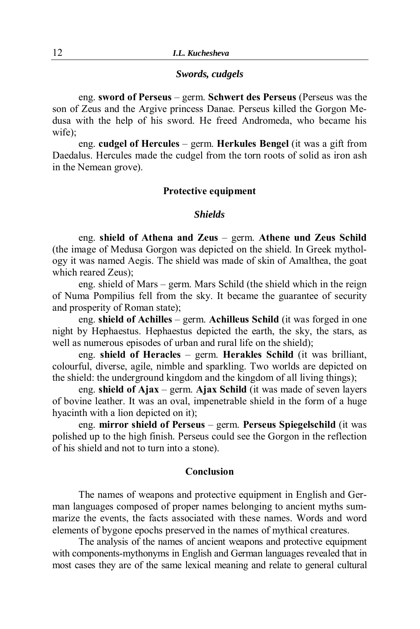## *Swords, cudgels*

eng. **sword of Perseus** – germ. **Schwert des Perseus** (Perseus was the son of Zeus and the Argive princess Danae. Perseus killed the Gorgon Medusa with the help of his sword. He freed Andromeda, who became his wife);

eng. **cudgel of Hercules** – germ. **Herkules Bengel** (it was a gift from Daedalus. Hercules made the cudgel from the torn roots of solid as iron ash in the Nemean grove).

## **Protective equipment**

### *Shields*

eng. **shield of Athena and Zeus** – germ. **Athene und Zeus Schild** (the image of Medusa Gorgon was depicted on the shield. In Greek mythology it was named Aegis. The shield was made of skin of Amalthea, the goat which reared Zeus);

eng. shield of Mars – germ. Mars Schild (the shield which in the reign of Numa Pompilius fell from the sky. It became the guarantee of security and prosperity of Roman state);

eng. **shield of Achilles** – germ. **Achilleus Schild** (it was forged in one night by Hephaestus. Hephaestus depicted the earth, the sky, the stars, as well as numerous episodes of urban and rural life on the shield);

eng. **shield of Heracles** – germ. **Herakles Schild** (it was brilliant, colourful, diverse, agile, nimble and sparkling. Two worlds are depicted on the shield: the underground kingdom and the kingdom of all living things);

eng. **shield of Ajax** – germ. **Ajax Schild** (it was made of seven layers of bovine leather. It was an oval, impenetrable shield in the form of a huge hyacinth with a lion depicted on it);

eng. **mirror shield of Perseus** – germ. **Perseus Spiegelschild** (it was polished up to the high finish. Perseus could see the Gorgon in the reflection of his shield and not to turn into a stone).

## **Conclusion**

The names of weapons and protective equipment in English and German languages composed of proper names belonging to ancient myths summarize the events, the facts associated with these names. Words and word elements of bygone epochs preserved in the names of mythical creatures.

The analysis of the names of ancient weapons and protective equipment with components-mythonyms in English and German languages revealed that in most cases they are of the same lexical meaning and relate to general cultural